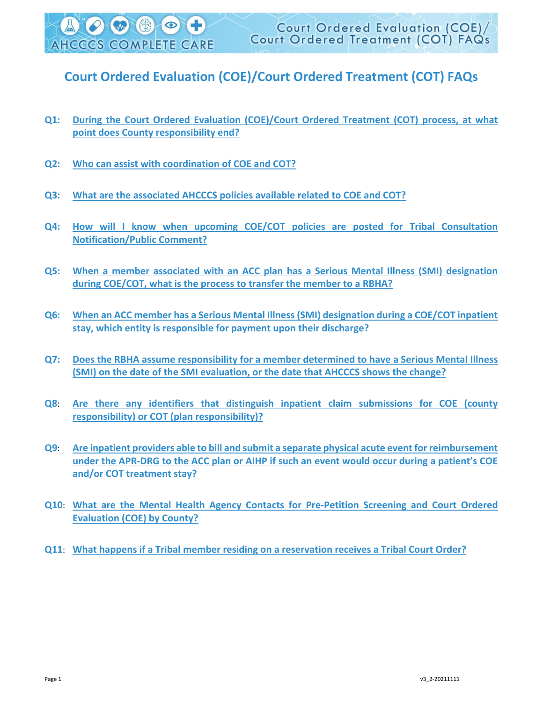## **Court Ordered Evaluation (COE)/Court Ordered Treatment (COT) FAQs**

- **[Q1:](#page-1-0) [During the Court Ordered Evaluation \(COE\)/Court Ordered Treatment \(COT\) process, at what](#page-1-0)  [point does County responsibility end?](#page-1-0)**
- **[Q2:](#page-1-1) [Who can assist with coordination of COE and COT?](#page-1-1)**
- **[Q3:](#page-2-0) [What are the associated AHCCCS policies available related to COE and COT?](#page-2-0)**
- **[Q4:](#page-2-1) [How will I know when upcoming COE/COT policies are posted for Tribal Consultation](#page-2-1)  [Notification/Public Comment?](#page-2-1)**
- **[Q5:](#page-2-2) [When a member associated with an ACC plan has a Serious Mental Illness \(SMI\) designation](#page-2-2)  [during COE/COT, what is the process to transfer the member to a RBHA?](#page-2-2)**
- **[Q6:](#page-2-3) [When an ACC member has a Serious Mental Illness \(SMI\) designation during a COE/COT inpatient](#page-2-3)  [stay, which entity is responsible for payment upon their discharge?](#page-2-3)**
- **[Q7:](#page-2-4) [Does the RBHA assume responsibility for a member determined to have a Serious Mental Illness](#page-2-4)  [\(SMI\) on the date of the SMI evaluation, or the date that AHCCCS shows the change?](#page-2-4)**
- **[Q8](#page-3-0)**: **[Are there any identifiers that distinguish inpatient claim submissions for COE \(county](#page-3-0)  [responsibility\) or COT \(plan responsibility\)?](#page-3-0)**
- **[Q9](#page-3-1)**: **[Are inpatient providers able to bill and submit a separate physical acute event for reimbursement](#page-3-1)  [under the APR-DRG to the ACC plan or AIHP if such an event would occur during a patient's COE](#page-3-1)  [and/or COT treatment stay?](#page-3-1)**
- **[Q10](#page-3-2)**: **[What are the Mental Health Agency Contacts for Pre-Petition Screening and Court Ordered](#page-3-2)  [Evaluation \(COE\) by County?](#page-3-2)**
- **[Q11](#page-5-0)**: **[What happens if a Tribal member residing on a reservation receives a Tribal Court Order?](#page-5-0)**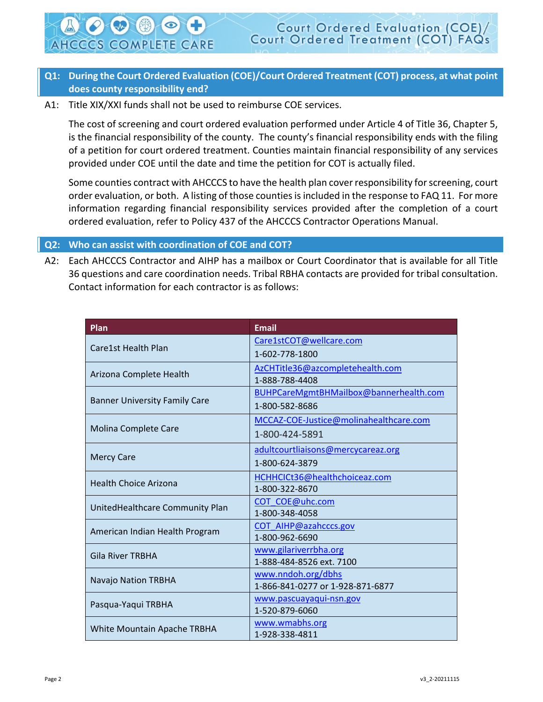## <span id="page-1-0"></span>**Q1: During the Court Ordered Evaluation (COE)/Court Ordered Treatment (COT) process, at what point does county responsibility end?**

A1: Title XIX/XXI funds shall not be used to reimburse COE services.

**AHCCCS COMPLETE CARE** 

The cost of screening and court ordered evaluation performed under Article 4 of Title 36, Chapter 5, is the financial responsibility of the county. The county's financial responsibility ends with the filing of a petition for court ordered treatment. Counties maintain financial responsibility of any services provided under COE until the date and time the petition for COT is actually filed.

Some counties contract with AHCCCS to have the health plan cover responsibility for screening, court order evaluation, or both. A listing of those counties is included in the response to FAQ 11. For more information regarding financial responsibility services provided after the completion of a court ordered evaluation, refer to Policy 437 of the AHCCCS Contractor Operations Manual.

## <span id="page-1-1"></span>**Q2: Who can assist with coordination of COE and COT?**

A2: Each AHCCCS Contractor and AIHP has a mailbox or Court Coordinator that is available for all Title 36 questions and care coordination needs. Tribal RBHA contacts are provided for tribal consultation. Contact information for each contractor is as follows:

| Plan                                 | <b>Email</b>                           |
|--------------------------------------|----------------------------------------|
|                                      | Care1stCOT@wellcare.com                |
| Care1st Health Plan                  | 1-602-778-1800                         |
| Arizona Complete Health              | AzCHTitle36@azcompletehealth.com       |
|                                      | 1-888-788-4408                         |
| <b>Banner University Family Care</b> | BUHPCareMgmtBHMailbox@bannerhealth.com |
|                                      | 1-800-582-8686                         |
| Molina Complete Care                 | MCCAZ-COE-Justice@molinahealthcare.com |
|                                      | 1-800-424-5891                         |
| <b>Mercy Care</b>                    | adultcourtliaisons@mercycareaz.org     |
|                                      | 1-800-624-3879                         |
| <b>Health Choice Arizona</b>         | HCHHCICt36@healthchoiceaz.com          |
|                                      | 1-800-322-8670                         |
| UnitedHealthcare Community Plan      | COT COE@uhc.com                        |
|                                      | 1-800-348-4058                         |
| American Indian Health Program       | COT AIHP@azahcccs.gov                  |
|                                      | 1-800-962-6690                         |
| <b>Gila River TRBHA</b>              | www.gilariverrbha.org                  |
|                                      | 1-888-484-8526 ext. 7100               |
| <b>Navajo Nation TRBHA</b>           | www.nndoh.org/dbhs                     |
|                                      | 1-866-841-0277 or 1-928-871-6877       |
| Pasqua-Yaqui TRBHA                   | www.pascuayaqui-nsn.gov                |
|                                      | 1-520-879-6060                         |
| White Mountain Apache TRBHA          | www.wmabhs.org                         |
|                                      | 1-928-338-4811                         |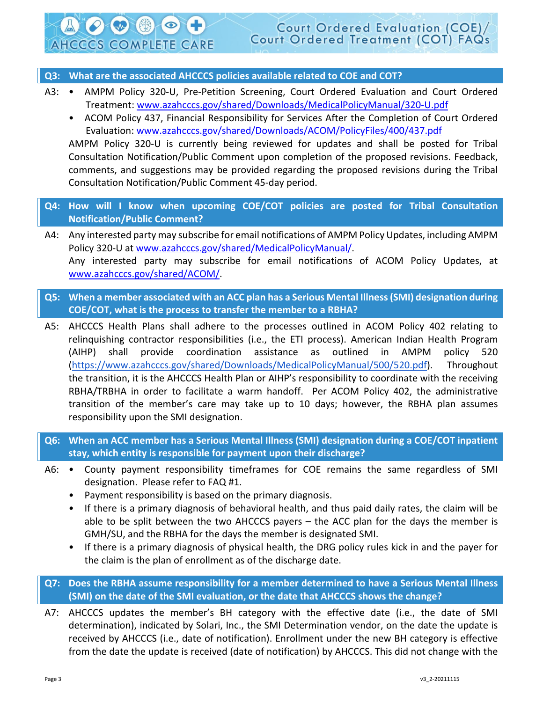### <span id="page-2-0"></span>**Q3: What are the associated AHCCCS policies available related to COE and COT?**

**AHCCCS COMPLETE CARE** 

- A3: AMPM Policy 320-U, Pre-Petition Screening, Court Ordered Evaluation and Court Ordered Treatment: [www.azahcccs.gov/shared/Downloads/MedicalPolicyManual/320-U.pdf](https://www.azahcccs.gov/shared/Downloads/MedicalPolicyManual/320-U.pdf)
	- ACOM Policy 437, Financial Responsibility for Services After the Completion of Court Ordered Evaluation: [www.azahcccs.gov/shared/Downloads/ACOM/PolicyFiles/400/437.pdf](https://www.azahcccs.gov/shared/Downloads/ACOM/PolicyFiles/400/437.pdf)

AMPM Policy 320-U is currently being reviewed for updates and shall be posted for Tribal Consultation Notification/Public Comment upon completion of the proposed revisions. Feedback, comments, and suggestions may be provided regarding the proposed revisions during the Tribal Consultation Notification/Public Comment 45-day period.

- <span id="page-2-1"></span>**Q4: How will I know when upcoming COE/COT policies are posted for Tribal Consultation Notification/Public Comment?**
- A4: Any interested party may subscribe for email notifications of AMPM Policy Updates, including AMPM Policy 320-U at [www.azahcccs.gov/shared/MedicalPolicyManual/.](https://www.azahcccs.gov/shared/MedicalPolicyManual/) Any interested party may subscribe for email notifications of ACOM Policy Updates, at [www.azahcccs.gov/shared/ACOM/.](https://www.azahcccs.gov/shared/ACOM/)
- <span id="page-2-2"></span>**Q5: When a member associated with an ACC plan has a Serious Mental Illness (SMI) designation during COE/COT, what is the process to transfer the member to a RBHA?**
- A5: AHCCCS Health Plans shall adhere to the processes outlined in ACOM Policy 402 relating to relinquishing contractor responsibilities (i.e., the ETI process). American Indian Health Program (AIHP) shall provide coordination assistance as outlined in AMPM policy 520 [\(https://www.azahcccs.gov/shared/Downloads/MedicalPolicyManual/500/520.pdf\)](https://www.azahcccs.gov/shared/Downloads/MedicalPolicyManual/500/520.pdf). Throughout the transition, it is the AHCCCS Health Plan or AIHP's responsibility to coordinate with the receiving RBHA/TRBHA in order to facilitate a warm handoff. Per ACOM Policy 402, the administrative transition of the member's care may take up to 10 days; however, the RBHA plan assumes responsibility upon the SMI designation.
- <span id="page-2-3"></span>**Q6: When an ACC member has a Serious Mental Illness (SMI) designation during a COE/COT inpatient stay, which entity is responsible for payment upon their discharge?**
- A6: County payment responsibility timeframes for COE remains the same regardless of SMI designation. Please refer to FAQ #1.
	- Payment responsibility is based on the primary diagnosis.
	- If there is a primary diagnosis of behavioral health, and thus paid daily rates, the claim will be able to be split between the two AHCCCS payers – the ACC plan for the days the member is GMH/SU, and the RBHA for the days the member is designated SMI.
	- If there is a primary diagnosis of physical health, the DRG policy rules kick in and the payer for the claim is the plan of enrollment as of the discharge date.
- <span id="page-2-4"></span>**Q7: Does the RBHA assume responsibility for a member determined to have a Serious Mental Illness (SMI) on the date of the SMI evaluation, or the date that AHCCCS shows the change?**
- A7: AHCCCS updates the member's BH category with the effective date (i.e., the date of SMI determination), indicated by Solari, Inc., the SMI Determination vendor, on the date the update is received by AHCCCS (i.e., date of notification). Enrollment under the new BH category is effective from the date the update is received (date of notification) by AHCCCS. This did not change with the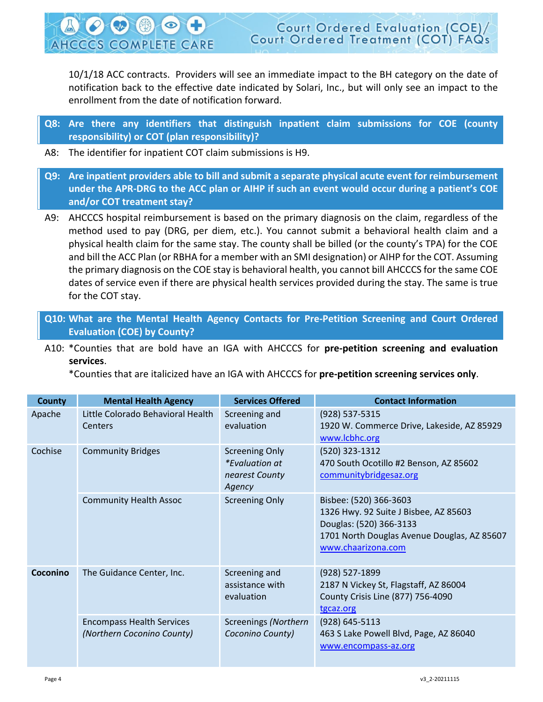**Court Ordered Evaluation (COE** Court Ordered Treatment (COT) FAQs **AHCCCS COMPLETE CARE** 

10/1/18 ACC contracts. Providers will see an immediate impact to the BH category on the date of notification back to the effective date indicated by Solari, Inc., but will only see an impact to the enrollment from the date of notification forward.

<span id="page-3-0"></span>**Q8: Are there any identifiers that distinguish inpatient claim submissions for COE (county responsibility) or COT (plan responsibility)?**

- A8: The identifier for inpatient COT claim submissions is H9.
- <span id="page-3-1"></span>**Q9: Are inpatient providers able to bill and submit a separate physical acute event for reimbursement under the APR-DRG to the ACC plan or AIHP if such an event would occur during a patient's COE and/or COT treatment stay?**
- A9: AHCCCS hospital reimbursement is based on the primary diagnosis on the claim, regardless of the method used to pay (DRG, per diem, etc.). You cannot submit a behavioral health claim and a physical health claim for the same stay. The county shall be billed (or the county's TPA) for the COE and bill the ACC Plan (or RBHA for a member with an SMI designation) or AIHP for the COT. Assuming the primary diagnosis on the COE stay is behavioral health, you cannot bill AHCCCS for the same COE dates of service even if there are physical health services provided during the stay. The same is true for the COT stay.
- <span id="page-3-2"></span>**Q10: What are the Mental Health Agency Contacts for Pre-Petition Screening and Court Ordered Evaluation (COE) by County?**
- A10: \*Counties that are bold have an IGA with AHCCCS for **pre-petition screening and evaluation services**.
	- \*Counties that are italicized have an IGA with AHCCCS for **pre-petition screening services only**.

| <b>County</b> | <b>Mental Health Agency</b>                                    | <b>Services Offered</b>                                                    | <b>Contact Information</b>                                                                                                                                      |
|---------------|----------------------------------------------------------------|----------------------------------------------------------------------------|-----------------------------------------------------------------------------------------------------------------------------------------------------------------|
| Apache        | Little Colorado Behavioral Health<br><b>Centers</b>            | Screening and<br>evaluation                                                | (928) 537-5315<br>1920 W. Commerce Drive, Lakeside, AZ 85929<br>www.lcbhc.org                                                                                   |
| Cochise       | <b>Community Bridges</b>                                       | <b>Screening Only</b><br><i>*Evaluation at</i><br>nearest County<br>Agency | (520) 323-1312<br>470 South Ocotillo #2 Benson, AZ 85602<br>communitybridgesaz.org                                                                              |
|               | <b>Community Health Assoc</b>                                  | <b>Screening Only</b>                                                      | Bisbee: (520) 366-3603<br>1326 Hwy. 92 Suite J Bisbee, AZ 85603<br>Douglas: (520) 366-3133<br>1701 North Douglas Avenue Douglas, AZ 85607<br>www.chaarizona.com |
| Coconino      | The Guidance Center, Inc.                                      | Screening and<br>assistance with<br>evaluation                             | (928) 527-1899<br>2187 N Vickey St, Flagstaff, AZ 86004<br>County Crisis Line (877) 756-4090<br>tgcaz.org                                                       |
|               | <b>Encompass Health Services</b><br>(Northern Coconino County) | Screenings (Northern<br>Coconino County)                                   | (928) 645-5113<br>463 S Lake Powell Blvd, Page, AZ 86040<br>www.encompass-az.org                                                                                |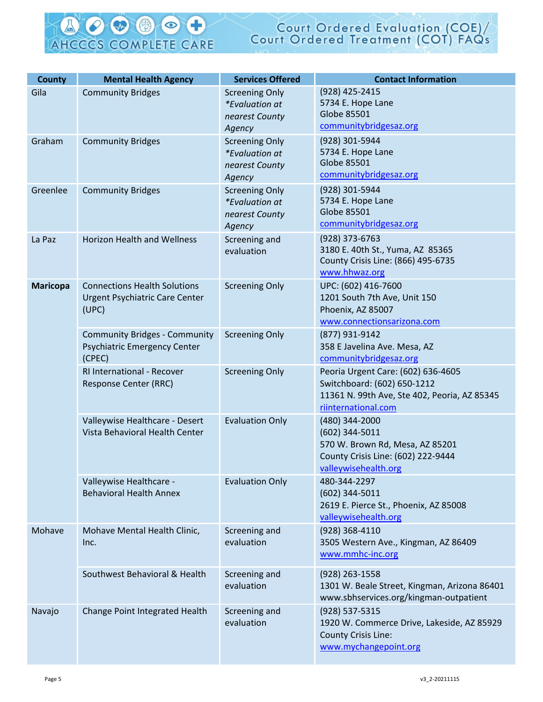#### C CB  $\bullet$ SA AHCCCS COMPLETE CARE

# Court Ordered Evaluation (COE)/<br>Court Ordered Treatment (COT) FAQs

| <b>County</b>   | <b>Mental Health Agency</b>                                                           | <b>Services Offered</b>                                                    | <b>Contact Information</b>                                                                                                               |
|-----------------|---------------------------------------------------------------------------------------|----------------------------------------------------------------------------|------------------------------------------------------------------------------------------------------------------------------------------|
| Gila            | <b>Community Bridges</b>                                                              | <b>Screening Only</b><br><i>*Evaluation at</i><br>nearest County<br>Agency | (928) 425-2415<br>5734 E. Hope Lane<br>Globe 85501<br>communitybridgesaz.org                                                             |
| Graham          | <b>Community Bridges</b>                                                              | <b>Screening Only</b><br><i>*Evaluation at</i><br>nearest County<br>Agency | (928) 301-5944<br>5734 E. Hope Lane<br>Globe 85501<br>communitybridgesaz.org                                                             |
| Greenlee        | <b>Community Bridges</b>                                                              | <b>Screening Only</b><br><i>*Evaluation at</i><br>nearest County<br>Agency | (928) 301-5944<br>5734 E. Hope Lane<br>Globe 85501<br>communitybridgesaz.org                                                             |
| La Paz          | <b>Horizon Health and Wellness</b>                                                    | Screening and<br>evaluation                                                | $(928)$ 373-6763<br>3180 E. 40th St., Yuma, AZ 85365<br>County Crisis Line: (866) 495-6735<br>www.hhwaz.org                              |
| <b>Maricopa</b> | <b>Connections Health Solutions</b><br><b>Urgent Psychiatric Care Center</b><br>(UPC) | <b>Screening Only</b>                                                      | UPC: (602) 416-7600<br>1201 South 7th Ave, Unit 150<br>Phoenix, AZ 85007<br>www.connectionsarizona.com                                   |
|                 | <b>Community Bridges - Community</b><br>Psychiatric Emergency Center<br>(CPEC)        | <b>Screening Only</b>                                                      | (877) 931-9142<br>358 E Javelina Ave. Mesa, AZ<br>communitybridgesaz.org                                                                 |
|                 | <b>RI International - Recover</b><br>Response Center (RRC)                            | <b>Screening Only</b>                                                      | Peoria Urgent Care: (602) 636-4605<br>Switchboard: (602) 650-1212<br>11361 N. 99th Ave, Ste 402, Peoria, AZ 85345<br>riinternational.com |
|                 | Valleywise Healthcare - Desert<br>Vista Behavioral Health Center                      | <b>Evaluation Only</b>                                                     | (480) 344-2000<br>$(602)$ 344-5011<br>570 W. Brown Rd, Mesa, AZ 85201<br>County Crisis Line: (602) 222-9444<br>valleywisehealth.org      |
|                 | Valleywise Healthcare -<br><b>Behavioral Health Annex</b>                             | <b>Evaluation Only</b>                                                     | 480-344-2297<br>$(602)$ 344-5011<br>2619 E. Pierce St., Phoenix, AZ 85008<br>valleywisehealth.org                                        |
| Mohave          | Mohave Mental Health Clinic,<br>Inc.                                                  | Screening and<br>evaluation                                                | (928) 368-4110<br>3505 Western Ave., Kingman, AZ 86409<br>www.mmhc-inc.org                                                               |
|                 | Southwest Behavioral & Health                                                         | Screening and<br>evaluation                                                | (928) 263-1558<br>1301 W. Beale Street, Kingman, Arizona 86401<br>www.sbhservices.org/kingman-outpatient                                 |
| Navajo          | Change Point Integrated Health                                                        | Screening and<br>evaluation                                                | (928) 537-5315<br>1920 W. Commerce Drive, Lakeside, AZ 85929<br>County Crisis Line:<br>www.mychangepoint.org                             |